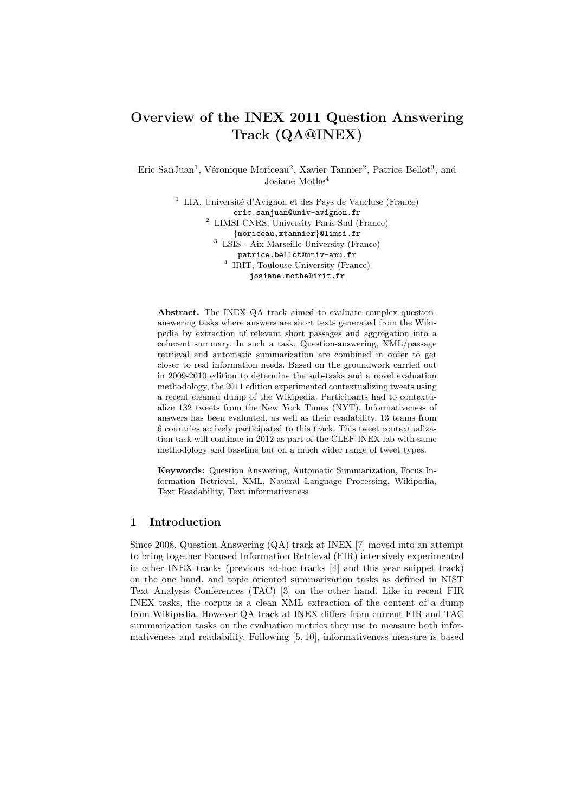# Overview of the INEX 2011 Question Answering Track (QA@INEX)

Eric SanJuan<sup>1</sup>, Véronique Moriceau<sup>2</sup>, Xavier Tannier<sup>2</sup>, Patrice Bellot<sup>3</sup>, and Josiane Mothe<sup>4</sup>

> $^1\,$  LIA, Université d'Avignon et des Pays de Vaucluse (France) eric.sanjuan@univ-avignon.fr <sup>2</sup> LIMSI-CNRS, University Paris-Sud (France) {moriceau,xtannier}@limsi.fr <sup>3</sup> LSIS - Aix-Marseille University (France) patrice.bellot@univ-amu.fr <sup>4</sup> IRIT, Toulouse University (France) josiane.mothe@irit.fr

Abstract. The INEX QA track aimed to evaluate complex questionanswering tasks where answers are short texts generated from the Wikipedia by extraction of relevant short passages and aggregation into a coherent summary. In such a task, Question-answering, XML/passage retrieval and automatic summarization are combined in order to get closer to real information needs. Based on the groundwork carried out in 2009-2010 edition to determine the sub-tasks and a novel evaluation methodology, the 2011 edition experimented contextualizing tweets using a recent cleaned dump of the Wikipedia. Participants had to contextualize 132 tweets from the New York Times (NYT). Informativeness of answers has been evaluated, as well as their readability. 13 teams from 6 countries actively participated to this track. This tweet contextualization task will continue in 2012 as part of the CLEF INEX lab with same methodology and baseline but on a much wider range of tweet types.

Keywords: Question Answering, Automatic Summarization, Focus Information Retrieval, XML, Natural Language Processing, Wikipedia, Text Readability, Text informativeness

# 1 Introduction

Since 2008, Question Answering (QA) track at INEX [7] moved into an attempt to bring together Focused Information Retrieval (FIR) intensively experimented in other INEX tracks (previous ad-hoc tracks [4] and this year snippet track) on the one hand, and topic oriented summarization tasks as defined in NIST Text Analysis Conferences (TAC) [3] on the other hand. Like in recent FIR INEX tasks, the corpus is a clean XML extraction of the content of a dump from Wikipedia. However QA track at INEX differs from current FIR and TAC summarization tasks on the evaluation metrics they use to measure both informativeness and readability. Following [5, 10], informativeness measure is based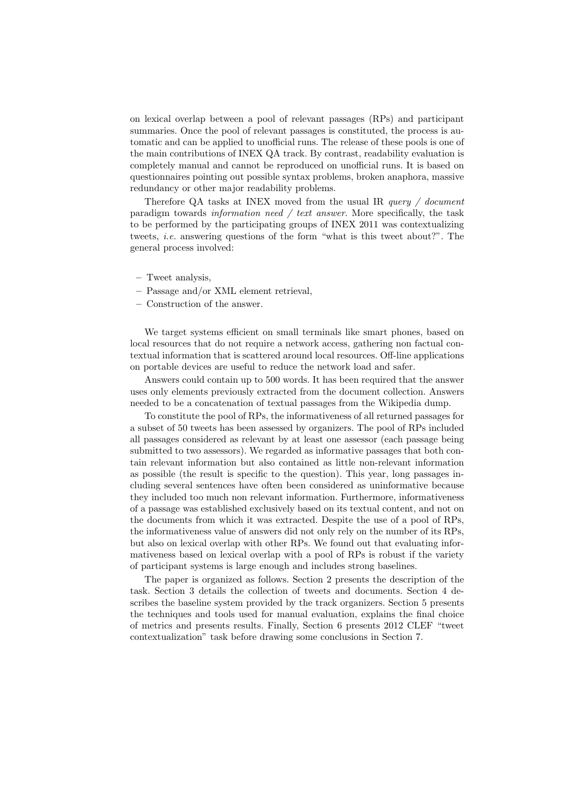on lexical overlap between a pool of relevant passages (RPs) and participant summaries. Once the pool of relevant passages is constituted, the process is automatic and can be applied to unofficial runs. The release of these pools is one of the main contributions of INEX QA track. By contrast, readability evaluation is completely manual and cannot be reproduced on unofficial runs. It is based on questionnaires pointing out possible syntax problems, broken anaphora, massive redundancy or other major readability problems.

Therefore QA tasks at INEX moved from the usual IR query  $\frac{1}{2}$  document paradigm towards information need / text answer. More specifically, the task to be performed by the participating groups of INEX 2011 was contextualizing tweets, i.e. answering questions of the form "what is this tweet about?". The general process involved:

- Tweet analysis,
- Passage and/or XML element retrieval,
- Construction of the answer.

We target systems efficient on small terminals like smart phones, based on local resources that do not require a network access, gathering non factual contextual information that is scattered around local resources. Off-line applications on portable devices are useful to reduce the network load and safer.

Answers could contain up to 500 words. It has been required that the answer uses only elements previously extracted from the document collection. Answers needed to be a concatenation of textual passages from the Wikipedia dump.

To constitute the pool of RPs, the informativeness of all returned passages for a subset of 50 tweets has been assessed by organizers. The pool of RPs included all passages considered as relevant by at least one assessor (each passage being submitted to two assessors). We regarded as informative passages that both contain relevant information but also contained as little non-relevant information as possible (the result is specific to the question). This year, long passages including several sentences have often been considered as uninformative because they included too much non relevant information. Furthermore, informativeness of a passage was established exclusively based on its textual content, and not on the documents from which it was extracted. Despite the use of a pool of RPs, the informativeness value of answers did not only rely on the number of its RPs, but also on lexical overlap with other RPs. We found out that evaluating informativeness based on lexical overlap with a pool of RPs is robust if the variety of participant systems is large enough and includes strong baselines.

The paper is organized as follows. Section 2 presents the description of the task. Section 3 details the collection of tweets and documents. Section 4 describes the baseline system provided by the track organizers. Section 5 presents the techniques and tools used for manual evaluation, explains the final choice of metrics and presents results. Finally, Section 6 presents 2012 CLEF "tweet contextualization" task before drawing some conclusions in Section 7.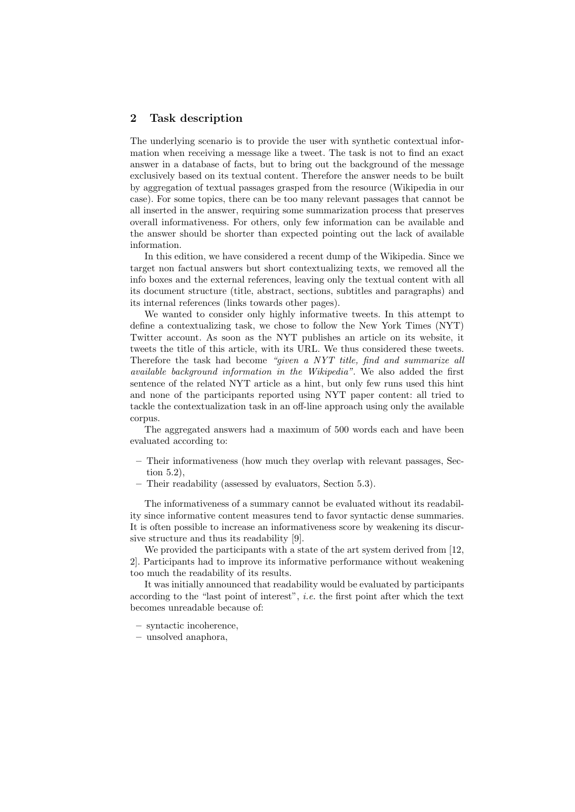## 2 Task description

The underlying scenario is to provide the user with synthetic contextual information when receiving a message like a tweet. The task is not to find an exact answer in a database of facts, but to bring out the background of the message exclusively based on its textual content. Therefore the answer needs to be built by aggregation of textual passages grasped from the resource (Wikipedia in our case). For some topics, there can be too many relevant passages that cannot be all inserted in the answer, requiring some summarization process that preserves overall informativeness. For others, only few information can be available and the answer should be shorter than expected pointing out the lack of available information.

In this edition, we have considered a recent dump of the Wikipedia. Since we target non factual answers but short contextualizing texts, we removed all the info boxes and the external references, leaving only the textual content with all its document structure (title, abstract, sections, subtitles and paragraphs) and its internal references (links towards other pages).

We wanted to consider only highly informative tweets. In this attempt to define a contextualizing task, we chose to follow the New York Times (NYT) Twitter account. As soon as the NYT publishes an article on its website, it tweets the title of this article, with its URL. We thus considered these tweets. Therefore the task had become "given a NYT title, find and summarize all available background information in the Wikipedia". We also added the first sentence of the related NYT article as a hint, but only few runs used this hint and none of the participants reported using NYT paper content: all tried to tackle the contextualization task in an off-line approach using only the available corpus.

The aggregated answers had a maximum of 500 words each and have been evaluated according to:

- Their informativeness (how much they overlap with relevant passages, Section 5.2),
- Their readability (assessed by evaluators, Section 5.3).

The informativeness of a summary cannot be evaluated without its readability since informative content measures tend to favor syntactic dense summaries. It is often possible to increase an informativeness score by weakening its discursive structure and thus its readability [9].

We provided the participants with a state of the art system derived from [12, 2]. Participants had to improve its informative performance without weakening too much the readability of its results.

It was initially announced that readability would be evaluated by participants according to the "last point of interest", i.e. the first point after which the text becomes unreadable because of:

- syntactic incoherence,
- unsolved anaphora,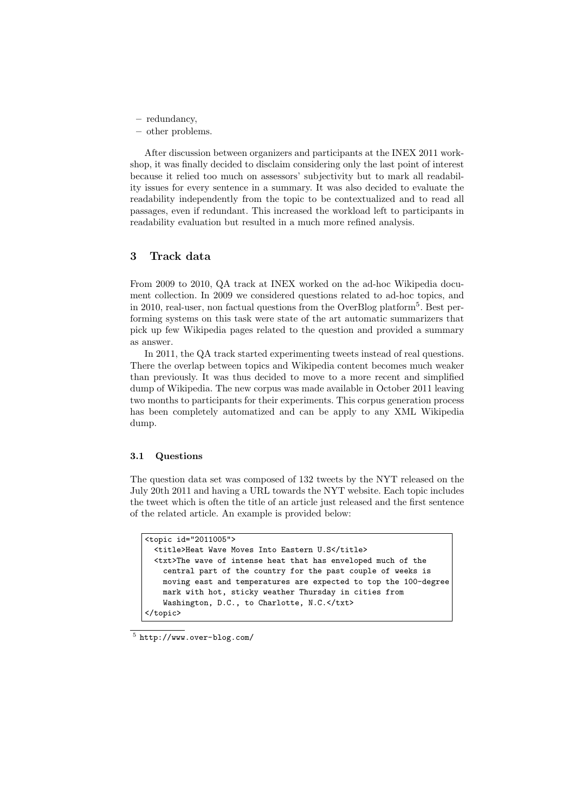- redundancy,
- other problems.

After discussion between organizers and participants at the INEX 2011 workshop, it was finally decided to disclaim considering only the last point of interest because it relied too much on assessors' subjectivity but to mark all readability issues for every sentence in a summary. It was also decided to evaluate the readability independently from the topic to be contextualized and to read all passages, even if redundant. This increased the workload left to participants in readability evaluation but resulted in a much more refined analysis.

## 3 Track data

From 2009 to 2010, QA track at INEX worked on the ad-hoc Wikipedia document collection. In 2009 we considered questions related to ad-hoc topics, and in 2010, real-user, non factual questions from the OverBlog platform<sup>5</sup>. Best performing systems on this task were state of the art automatic summarizers that pick up few Wikipedia pages related to the question and provided a summary as answer.

In 2011, the QA track started experimenting tweets instead of real questions. There the overlap between topics and Wikipedia content becomes much weaker than previously. It was thus decided to move to a more recent and simplified dump of Wikipedia. The new corpus was made available in October 2011 leaving two months to participants for their experiments. This corpus generation process has been completely automatized and can be apply to any XML Wikipedia dump.

#### 3.1 Questions

The question data set was composed of 132 tweets by the NYT released on the July 20th 2011 and having a URL towards the NYT website. Each topic includes the tweet which is often the title of an article just released and the first sentence of the related article. An example is provided below:

```
<topic id="2011005">
 <title>Heat Wave Moves Into Eastern U.S</title>
 <txt>The wave of intense heat that has enveloped much of the
    central part of the country for the past couple of weeks is
   moving east and temperatures are expected to top the 100-degree
   mark with hot, sticky weather Thursday in cities from
   Washington, D.C., to Charlotte, N.C.</txt>
</topic>
```
<sup>5</sup> http://www.over-blog.com/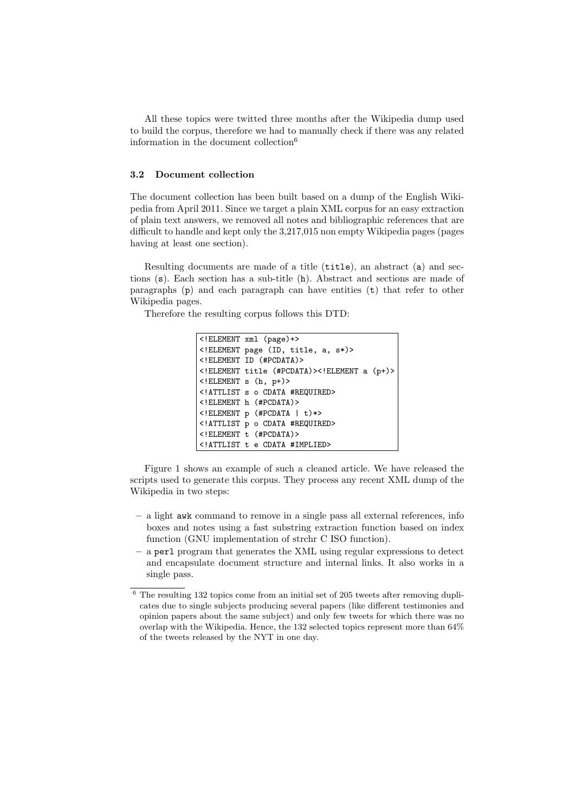All these topics were twitted three months after the Wikipedia dump used to build the corpus, therefore we had to manually check if there was any related information in the document collection<sup>6</sup>

#### 3.2 Document collection

The document collection has been built based on a dump of the English Wikipedia from April 2011. Since we target a plain XML corpus for an easy extraction of plain text answers, we removed all notes and bibliographic references that are difficult to handle and kept only the 3,217,015 non empty Wikipedia pages (pages having at least one section).

Resulting documents are made of a title (title), an abstract (a) and sections (s). Each section has a sub-title (h). Abstract and sections are made of paragraphs  $(p)$  and each paragraph can have entities  $(t)$  that refer to other Wikipedia pages.

Therefore the resulting corpus follows this DTD:

```
<!ELEMENT xml (page)+>
<!ELEMENT page (ID, title, a, s*)>
<!ELEMENT ID (#PCDATA)>
<!ELEMENT title (#PCDATA)><!ELEMENT a (p+)>
\leq!ELEMENT s (h, p+)>
<!ATTLIST s o CDATA #REQUIRED>
<!ELEMENT h (#PCDATA)>
<!ELEMENT p (#PCDATA | t)*>
<!ATTLIST p o CDATA #REQUIRED>
<!ELEMENT t (#PCDATA)>
<!ATTLIST t e CDATA #IMPLIED>
```
Figure 1 shows an example of such a cleaned article. We have released the scripts used to generate this corpus. They process any recent XML dump of the Wikipedia in two steps:

- a light awk command to remove in a single pass all external references, info boxes and notes using a fast substring extraction function based on index function (GNU implementation of strchr C ISO function).
- a perl program that generates the XML using regular expressions to detect and encapsulate document structure and internal links. It also works in a single pass.

 $6$  The resulting 132 topics come from an initial set of 205 tweets after removing duplicates due to single subjects producing several papers (like different testimonies and opinion papers about the same subject) and only few tweets for which there was no overlap with the Wikipedia. Hence, the 132 selected topics represent more than 64% of the tweets released by the NYT in one day.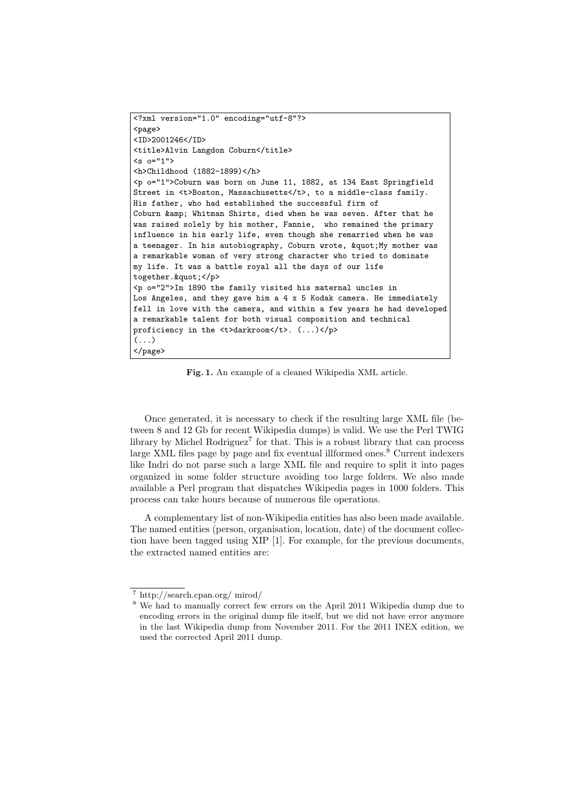```
<?xml version="1.0" encoding="utf-8"?>
<page>
<ID>2001246</ID>
<title>Alvin Langdon Coburn</title>
\leq s o = "1"<h>Childhood (1882-1899)</h>
<p o="1">Coburn was born on June 11, 1882, at 134 East Springfield
Street in <t>Boston, Massachusetts</t></t>>, to a middle-class family.
His father, who had established the successful firm of
Coburn & amp; Whitman Shirts, died when he was seven. After that he
was raised solely by his mother, Fannie, who remained the primary
influence in his early life, even though she remarried when he was
a teenager. In his autobiography, Coburn wrote, " My mother was
a remarkable woman of very strong character who tried to dominate
my life. It was a battle royal all the days of our life
together. " </p>
<p o="2">In 1890 the family visited his maternal uncles in
Los Angeles, and they gave him a 4 x 5 Kodak camera. He immediately
fell in love with the camera, and within a few years he had developed
a remarkable talent for both visual composition and technical
proficiency in the <t>darkroom</t>. (...)</p>
\left(\ldots\right)</page>
```
Fig. 1. An example of a cleaned Wikipedia XML article.

Once generated, it is necessary to check if the resulting large XML file (between 8 and 12 Gb for recent Wikipedia dumps) is valid. We use the Perl TWIG library by Michel Rodriguez<sup>7</sup> for that. This is a robust library that can process large XML files page by page and fix eventual illformed ones.<sup>8</sup> Current indexers like Indri do not parse such a large XML file and require to split it into pages organized in some folder structure avoiding too large folders. We also made available a Perl program that dispatches Wikipedia pages in 1000 folders. This process can take hours because of numerous file operations.

A complementary list of non-Wikipedia entities has also been made available. The named entities (person, organisation, location, date) of the document collection have been tagged using XIP [1]. For example, for the previous documents, the extracted named entities are:

<sup>7</sup> http://search.cpan.org/ mirod/

<sup>8</sup> We had to manually correct few errors on the April 2011 Wikipedia dump due to encoding errors in the original dump file itself, but we did not have error anymore in the last Wikipedia dump from November 2011. For the 2011 INEX edition, we used the corrected April 2011 dump.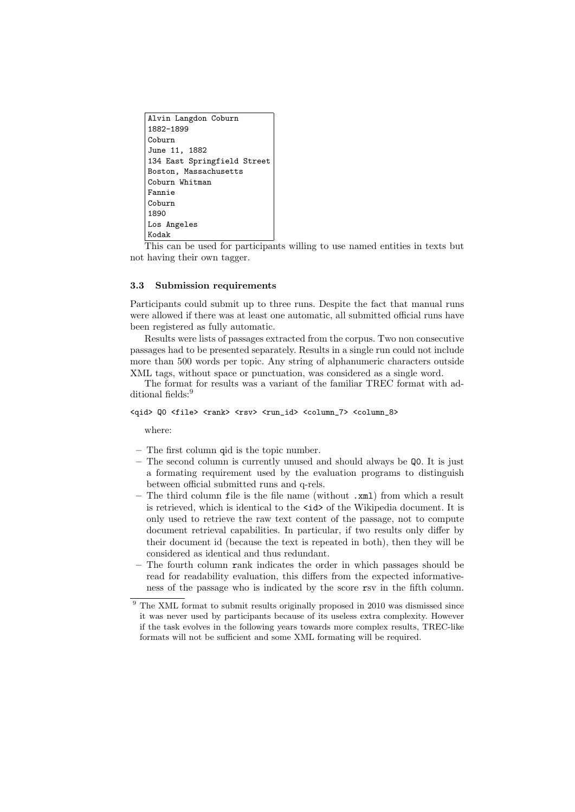| Alvin Langdon Coburn        |
|-----------------------------|
| 1882-1899                   |
| Coburn                      |
| June 11, 1882               |
| 134 East Springfield Street |
| Boston, Massachusetts       |
| Coburn Whitman              |
| Fannie                      |
| Coburn                      |
| 1890                        |
| Los Angeles                 |
| Kodak                       |

This can be used for participants willing to use named entities in texts but not having their own tagger.

#### 3.3 Submission requirements

Participants could submit up to three runs. Despite the fact that manual runs were allowed if there was at least one automatic, all submitted official runs have been registered as fully automatic.

Results were lists of passages extracted from the corpus. Two non consecutive passages had to be presented separately. Results in a single run could not include more than 500 words per topic. Any string of alphanumeric characters outside XML tags, without space or punctuation, was considered as a single word.

The format for results was a variant of the familiar TREC format with additional fields:  $\!9$ 

<qid> Q0 <file> <rank> <rsv> <run\_id> <column\_7> <column\_8>

where:

- The first column qid is the topic number.
- The second column is currently unused and should always be Q0. It is just a formating requirement used by the evaluation programs to distinguish between official submitted runs and q-rels.
- The third column file is the file name (without .xml) from which a result is retrieved, which is identical to the  $\langle id \rangle$  of the Wikipedia document. It is only used to retrieve the raw text content of the passage, not to compute document retrieval capabilities. In particular, if two results only differ by their document id (because the text is repeated in both), then they will be considered as identical and thus redundant.
- The fourth column rank indicates the order in which passages should be read for readability evaluation, this differs from the expected informativeness of the passage who is indicated by the score rsv in the fifth column.

 $9$  The XML format to submit results originally proposed in 2010 was dismissed since it was never used by participants because of its useless extra complexity. However if the task evolves in the following years towards more complex results, TREC-like formats will not be sufficient and some XML formating will be required.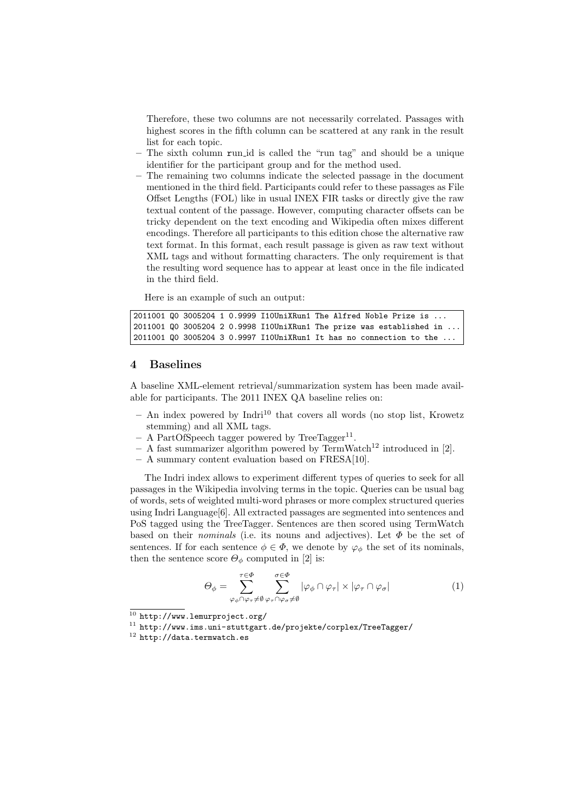Therefore, these two columns are not necessarily correlated. Passages with highest scores in the fifth column can be scattered at any rank in the result list for each topic.

- The sixth column run id is called the "run tag" and should be a unique identifier for the participant group and for the method used.
- The remaining two columns indicate the selected passage in the document mentioned in the third field. Participants could refer to these passages as File Offset Lengths (FOL) like in usual INEX FIR tasks or directly give the raw textual content of the passage. However, computing character offsets can be tricky dependent on the text encoding and Wikipedia often mixes different encodings. Therefore all participants to this edition chose the alternative raw text format. In this format, each result passage is given as raw text without XML tags and without formatting characters. The only requirement is that the resulting word sequence has to appear at least once in the file indicated in the third field.

Here is an example of such an output:

2011001 Q0 3005204 1 0.9999 I10UniXRun1 The Alfred Noble Prize is ... 2011001 Q0 3005204 2 0.9998 I10UniXRun1 The prize was established in ... 2011001 Q0 3005204 3 0.9997 I10UniXRun1 It has no connection to the ...

### 4 Baselines

A baseline XML-element retrieval/summarization system has been made available for participants. The 2011 INEX QA baseline relies on:

- $-$  An index powered by Indri<sup>10</sup> that covers all words (no stop list, Krowetz stemming) and all XML tags.
- $-$  A PartOfSpeech tagger powered by TreeTagger<sup>11</sup>.
- A fast summarizer algorithm powered by  $\widetilde{\mathrm{Term}}$  Watch<sup>12</sup> introduced in [2].
- A summary content evaluation based on FRESA[10].

The Indri index allows to experiment different types of queries to seek for all passages in the Wikipedia involving terms in the topic. Queries can be usual bag of words, sets of weighted multi-word phrases or more complex structured queries using Indri Language[6]. All extracted passages are segmented into sentences and PoS tagged using the TreeTagger. Sentences are then scored using TermWatch based on their *nominals* (i.e. its nouns and adjectives). Let  $\Phi$  be the set of sentences. If for each sentence  $\phi \in \Phi$ , we denote by  $\varphi_{\phi}$  the set of its nominals, then the sentence score  $\Theta_{\phi}$  computed in [2] is:

$$
\Theta_{\phi} = \sum_{\varphi_{\phi} \cap \varphi_{\tau} \neq \emptyset}^{\tau \in \Phi} \sum_{\varphi_{\tau} \cap \varphi_{\sigma} \neq \emptyset}^{\sigma \in \Phi} |\varphi_{\phi} \cap \varphi_{\tau}| \times |\varphi_{\tau} \cap \varphi_{\sigma}| \tag{1}
$$

 $\frac{10}{10}$  http://www.lemurproject.org/

 $^{11}$ http://www.ims.uni-stuttgart.de/projekte/corplex/TreeTagger/

<sup>12</sup> http://data.termwatch.es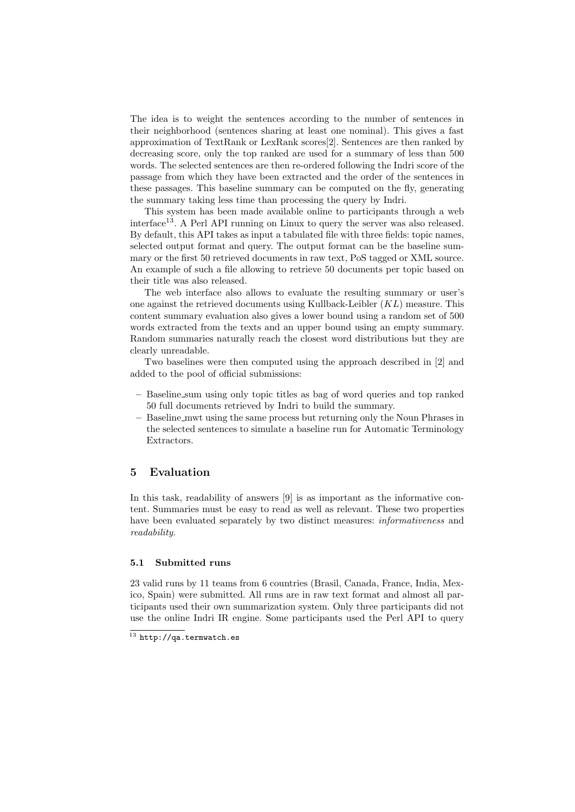The idea is to weight the sentences according to the number of sentences in their neighborhood (sentences sharing at least one nominal). This gives a fast approximation of TextRank or LexRank scores[2]. Sentences are then ranked by decreasing score, only the top ranked are used for a summary of less than 500 words. The selected sentences are then re-ordered following the Indri score of the passage from which they have been extracted and the order of the sentences in these passages. This baseline summary can be computed on the fly, generating the summary taking less time than processing the query by Indri.

This system has been made available online to participants through a web interface13. A Perl API running on Linux to query the server was also released. By default, this API takes as input a tabulated file with three fields: topic names, selected output format and query. The output format can be the baseline summary or the first 50 retrieved documents in raw text, PoS tagged or XML source. An example of such a file allowing to retrieve 50 documents per topic based on their title was also released.

The web interface also allows to evaluate the resulting summary or user's one against the retrieved documents using Kullback-Leibler  $(KL)$  measure. This content summary evaluation also gives a lower bound using a random set of 500 words extracted from the texts and an upper bound using an empty summary. Random summaries naturally reach the closest word distributions but they are clearly unreadable.

Two baselines were then computed using the approach described in [2] and added to the pool of official submissions:

- Baseline sum using only topic titles as bag of word queries and top ranked 50 full documents retrieved by Indri to build the summary.
- Baseline mwt using the same process but returning only the Noun Phrases in the selected sentences to simulate a baseline run for Automatic Terminology Extractors.

## 5 Evaluation

In this task, readability of answers [9] is as important as the informative content. Summaries must be easy to read as well as relevant. These two properties have been evaluated separately by two distinct measures: *informativeness* and readability.

#### 5.1 Submitted runs

23 valid runs by 11 teams from 6 countries (Brasil, Canada, France, India, Mexico, Spain) were submitted. All runs are in raw text format and almost all participants used their own summarization system. Only three participants did not use the online Indri IR engine. Some participants used the Perl API to query

 $^{13}$ http://qa.termwatch.es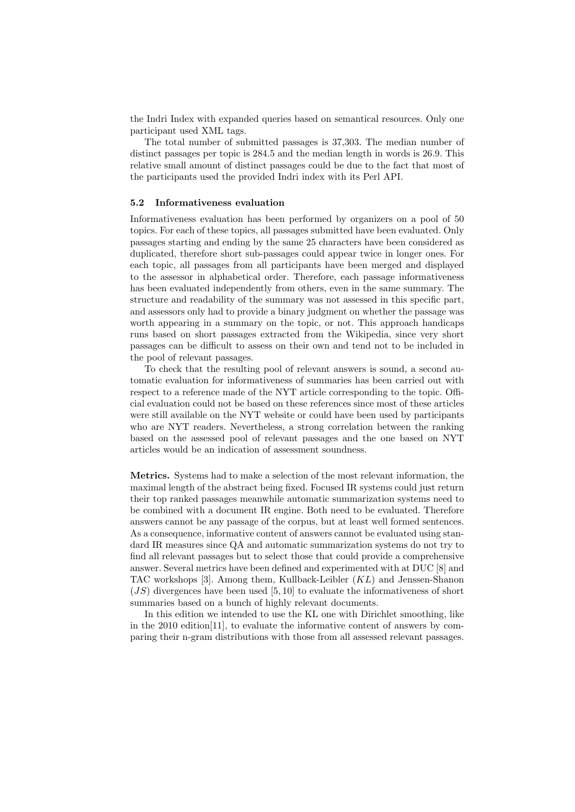the Indri Index with expanded queries based on semantical resources. Only one participant used XML tags.

The total number of submitted passages is 37,303. The median number of distinct passages per topic is 284.5 and the median length in words is 26.9. This relative small amount of distinct passages could be due to the fact that most of the participants used the provided Indri index with its Perl API.

#### 5.2 Informativeness evaluation

Informativeness evaluation has been performed by organizers on a pool of 50 topics. For each of these topics, all passages submitted have been evaluated. Only passages starting and ending by the same 25 characters have been considered as duplicated, therefore short sub-passages could appear twice in longer ones. For each topic, all passages from all participants have been merged and displayed to the assessor in alphabetical order. Therefore, each passage informativeness has been evaluated independently from others, even in the same summary. The structure and readability of the summary was not assessed in this specific part, and assessors only had to provide a binary judgment on whether the passage was worth appearing in a summary on the topic, or not. This approach handicaps runs based on short passages extracted from the Wikipedia, since very short passages can be difficult to assess on their own and tend not to be included in the pool of relevant passages.

To check that the resulting pool of relevant answers is sound, a second automatic evaluation for informativeness of summaries has been carried out with respect to a reference made of the NYT article corresponding to the topic. Official evaluation could not be based on these references since most of these articles were still available on the NYT website or could have been used by participants who are NYT readers. Nevertheless, a strong correlation between the ranking based on the assessed pool of relevant passages and the one based on NYT articles would be an indication of assessment soundness.

Metrics. Systems had to make a selection of the most relevant information, the maximal length of the abstract being fixed. Focused IR systems could just return their top ranked passages meanwhile automatic summarization systems need to be combined with a document IR engine. Both need to be evaluated. Therefore answers cannot be any passage of the corpus, but at least well formed sentences. As a consequence, informative content of answers cannot be evaluated using standard IR measures since QA and automatic summarization systems do not try to find all relevant passages but to select those that could provide a comprehensive answer. Several metrics have been defined and experimented with at DUC [8] and TAC workshops [3]. Among them, Kullback-Leibler (KL) and Jenssen-Shanon  $(JS)$  divergences have been used [5, 10] to evaluate the informativeness of short summaries based on a bunch of highly relevant documents.

In this edition we intended to use the KL one with Dirichlet smoothing, like in the 2010 edition[11], to evaluate the informative content of answers by comparing their n-gram distributions with those from all assessed relevant passages.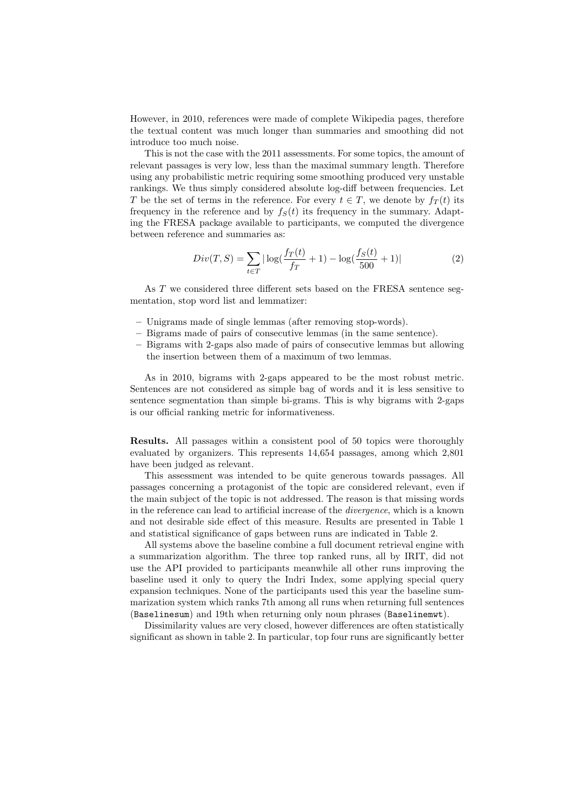However, in 2010, references were made of complete Wikipedia pages, therefore the textual content was much longer than summaries and smoothing did not introduce too much noise.

This is not the case with the 2011 assessments. For some topics, the amount of relevant passages is very low, less than the maximal summary length. Therefore using any probabilistic metric requiring some smoothing produced very unstable rankings. We thus simply considered absolute log-diff between frequencies. Let T be the set of terms in the reference. For every  $t \in T$ , we denote by  $f_T(t)$  its frequency in the reference and by  $f_S(t)$  its frequency in the summary. Adapting the FRESA package available to participants, we computed the divergence between reference and summaries as:

$$
Div(T, S) = \sum_{t \in T} |\log(\frac{f_T(t)}{f_T} + 1) - \log(\frac{f_S(t)}{500} + 1)| \tag{2}
$$

As T we considered three different sets based on the FRESA sentence segmentation, stop word list and lemmatizer:

- Unigrams made of single lemmas (after removing stop-words).
- Bigrams made of pairs of consecutive lemmas (in the same sentence).
- Bigrams with 2-gaps also made of pairs of consecutive lemmas but allowing the insertion between them of a maximum of two lemmas.

As in 2010, bigrams with 2-gaps appeared to be the most robust metric. Sentences are not considered as simple bag of words and it is less sensitive to sentence segmentation than simple bi-grams. This is why bigrams with 2-gaps is our official ranking metric for informativeness.

Results. All passages within a consistent pool of 50 topics were thoroughly evaluated by organizers. This represents 14,654 passages, among which 2,801 have been judged as relevant.

This assessment was intended to be quite generous towards passages. All passages concerning a protagonist of the topic are considered relevant, even if the main subject of the topic is not addressed. The reason is that missing words in the reference can lead to artificial increase of the divergence, which is a known and not desirable side effect of this measure. Results are presented in Table 1 and statistical significance of gaps between runs are indicated in Table 2.

All systems above the baseline combine a full document retrieval engine with a summarization algorithm. The three top ranked runs, all by IRIT, did not use the API provided to participants meanwhile all other runs improving the baseline used it only to query the Indri Index, some applying special query expansion techniques. None of the participants used this year the baseline summarization system which ranks 7th among all runs when returning full sentences (Baselinesum) and 19th when returning only noun phrases (Baselinemwt).

Dissimilarity values are very closed, however differences are often statistically significant as shown in table 2. In particular, top four runs are significantly better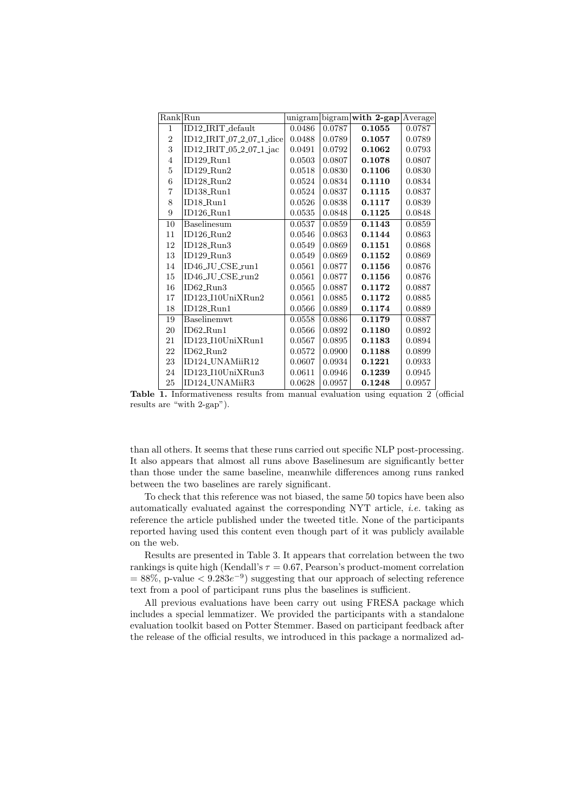| Rank Run       |                                     | unigram |        | $bigram$ with 2-gap | Average |
|----------------|-------------------------------------|---------|--------|---------------------|---------|
| 1              | ID12_IRIT_default                   | 0.0486  | 0.0787 | 0.1055              | 0.0787  |
| $\overline{2}$ | ID12_IRIT_07_2_07_1_dice            | 0.0488  | 0.0789 | 0.1057              | 0.0789  |
| 3              | $ID12_IRT_05_2_07_1$ <sub>jac</sub> | 0.0491  | 0.0792 | 0.1062              | 0.0793  |
| $\overline{4}$ | $ID129_Run1$                        | 0.0503  | 0.0807 | 0.1078              | 0.0807  |
| $\overline{5}$ | $ID129_Run2$                        | 0.0518  | 0.0830 | 0.1106              | 0.0830  |
| 6              | $ID128_Run2$                        | 0.0524  | 0.0834 | 0.1110              | 0.0834  |
| $\overline{7}$ | $ID138_Run1$                        | 0.0524  | 0.0837 | 0.1115              | 0.0837  |
| 8              | $ID18_Run1$                         | 0.0526  | 0.0838 | 0.1117              | 0.0839  |
| 9              | ID126_Run1                          | 0.0535  | 0.0848 | 0.1125              | 0.0848  |
| 10             | Baselinesum                         | 0.0537  | 0.0859 | 0.1143              | 0.0859  |
| 11             | $ID126_Run2$                        | 0.0546  | 0.0863 | 0.1144              | 0.0863  |
| 12             | $ID128_Run3$                        | 0.0549  | 0.0869 | 0.1151              | 0.0868  |
| 13             | $ID129_Run3$                        | 0.0549  | 0.0869 | 0.1152              | 0.0869  |
| 14             | ID46 <sub>-JU-CSE-run1</sub>        | 0.0561  | 0.0877 | 0.1156              | 0.0876  |
| 15             | ID46_JU_CSE_run2                    | 0.0561  | 0.0877 | 0.1156              | 0.0876  |
| 16             | $ID62_Run3$                         | 0.0565  | 0.0887 | 0.1172              | 0.0887  |
| 17             | ID123_I10UniXRun2                   | 0.0561  | 0.0885 | 0.1172              | 0.0885  |
| 18             | $ID128_Run1$                        | 0.0566  | 0.0889 | 0.1174              | 0.0889  |
| 19             | Baselinemwt                         | 0.0558  | 0.0886 | 0.1179              | 0.0887  |
| 20             | ID62_Run1                           | 0.0566  | 0.0892 | 0.1180              | 0.0892  |
| 21             | ID123_I10UniXRun1                   | 0.0567  | 0.0895 | 0.1183              | 0.0894  |
| 22             | $ID62_Run2$                         | 0.0572  | 0.0900 | 0.1188              | 0.0899  |
| 23             | ID124_UNAMiiR12                     | 0.0607  | 0.0934 | 0.1221              | 0.0933  |
| 24             | ID123_I10UniXRun3                   | 0.0611  | 0.0946 | 0.1239              | 0.0945  |
| 25             | ID124_UNAMiiR3                      | 0.0628  | 0.0957 | 0.1248              | 0.0957  |

Table 1. Informativeness results from manual evaluation using equation 2 (official results are "with 2-gap").

than all others. It seems that these runs carried out specific NLP post-processing. It also appears that almost all runs above Baselinesum are significantly better than those under the same baseline, meanwhile differences among runs ranked between the two baselines are rarely significant.

To check that this reference was not biased, the same 50 topics have been also automatically evaluated against the corresponding NYT article, i.e. taking as reference the article published under the tweeted title. None of the participants reported having used this content even though part of it was publicly available on the web.

Results are presented in Table 3. It appears that correlation between the two rankings is quite high (Kendall's  $\tau = 0.67$ , Pearson's product-moment correlation  $= 88\%,$  p-value  $\lt 9.283e^{-9}$  suggesting that our approach of selecting reference text from a pool of participant runs plus the baselines is sufficient.

All previous evaluations have been carry out using FRESA package which includes a special lemmatizer. We provided the participants with a standalone evaluation toolkit based on Potter Stemmer. Based on participant feedback after the release of the official results, we introduced in this package a normalized ad-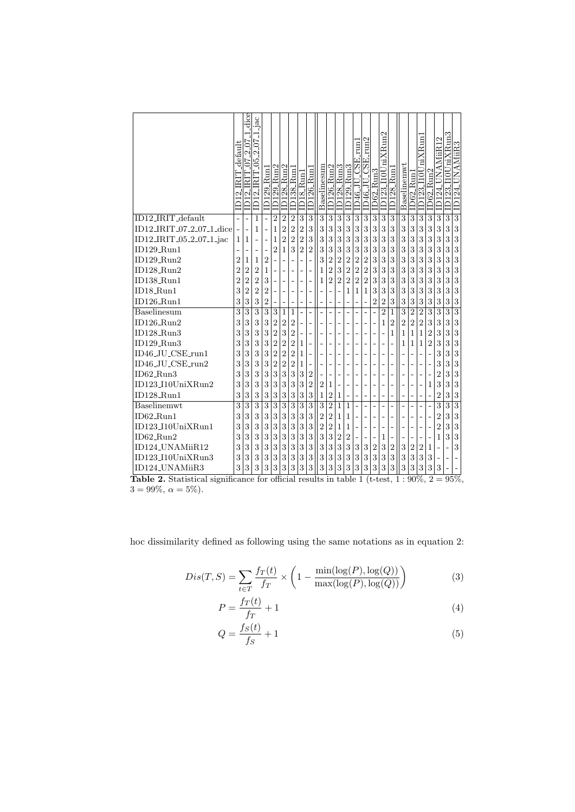|                          |                           | dice           |                          |                          |                          |                          |                          |                          |                           |                |                          |                          |                          |                          |                          |                          |                          |                          |                |                          |                          |                |                          |                      |                            |
|--------------------------|---------------------------|----------------|--------------------------|--------------------------|--------------------------|--------------------------|--------------------------|--------------------------|---------------------------|----------------|--------------------------|--------------------------|--------------------------|--------------------------|--------------------------|--------------------------|--------------------------|--------------------------|----------------|--------------------------|--------------------------|----------------|--------------------------|----------------------|----------------------------|
|                          |                           |                | .jac<br>1                |                          |                          |                          |                          |                          |                           |                |                          |                          |                          |                          |                          |                          |                          |                          |                |                          |                          |                |                          |                      |                            |
|                          |                           | $-07$          | 50                       |                          |                          |                          |                          |                          |                           |                |                          |                          |                          |                          | $_$ run $2$              |                          | $0$ UniXRun $2$          |                          |                |                          | ID123110UniXRun          |                | Z                        | $ID123\_110UniXRun3$ |                            |
|                          | $\det$ ault               | $\mathcal{L}$  | Z                        |                          |                          |                          |                          |                          |                           |                |                          |                          |                          | run                      |                          |                          |                          |                          |                |                          |                          |                | ID124_UNAMiiR1           |                      | ID124 <sub>-UNAMiiR3</sub> |
|                          |                           | 50             | .<br>ول                  |                          |                          |                          |                          |                          |                           |                |                          |                          |                          | CSE.                     | ESC.                     |                          |                          |                          |                |                          |                          |                |                          |                      |                            |
|                          |                           |                | ⊟                        | $ID129$ Runl             | ID129 Run2               | ID128_Run2               | ID138_Run1               |                          | $ID126_Run1$              | Baselinesum    | 26_Run2                  | Run3                     | Run3                     |                          |                          |                          |                          | $ID128_Run1$             | Baselinemwt    |                          |                          | $ID62$ -Run2   |                          |                      |                            |
|                          | IRIT                      | RI             | ERI                      |                          |                          |                          |                          | <b>D18</b> Run1          |                           |                |                          |                          |                          |                          |                          | $_{\rm Run3}$            |                          |                          |                | $ID62$ Runl              |                          |                |                          |                      |                            |
|                          | $\hat{\phantom{0}}$       | ۵İ             | ID12.                    |                          |                          |                          |                          |                          |                           |                |                          | 28                       | 29                       | 1046<br>11               |                          | ID62.                    | 123                      |                          |                |                          |                          |                |                          |                      |                            |
|                          | $\dot{\Xi}$               |                |                          |                          |                          |                          |                          |                          |                           |                | $\triangleq$             | ≘                        | $\overline{\mathbf{r}}$  |                          | D46                      |                          | $\overline{\mathsf{D}}$  |                          |                |                          |                          |                |                          |                      |                            |
| ID12_IRIT_default        |                           |                | 1                        | $\overline{a}$           | $\overline{2}$           | $\overline{2}$           | $\overline{2}$           | 3                        | $\overline{3}$            | 3              | 3                        | 3                        | 3                        | 3                        | 3                        | 3                        | 3                        | $\overline{3}$           | $\overline{3}$ | $\overline{3}$           | $\overline{3}$           | $\overline{3}$ | 3                        | 3                    | $\overline{3}$             |
| ID12_IRIT_07_2_07_1_dice |                           | $\overline{a}$ | 1                        | ÷,                       | $\mathbf 1$              | $\overline{2}$           | $\overline{2}$           | $\overline{2}$           | 3                         | 3              | 3                        | 3                        | 3                        | 3                        | 3                        | 3                        | 3                        | 3                        | 3              | 3                        | 3                        | 3              | 3                        | 3                    | 3                          |
| ID12_IRIT_05_2_07_1_jac  | 1                         | 1              | ÷,                       | $\overline{\phantom{a}}$ | $\mathbf 1$              | $\overline{2}$           | $\overline{2}$           | $\overline{2}$           | 3                         | 3              | 3                        | 3                        | 3                        | 3                        | 3                        | 3                        | 3                        | 3                        | 3              | 3                        | 3                        | 3              | 3                        | 3                    | 3                          |
| ID129_Run1               |                           |                | $\overline{\phantom{a}}$ | $\overline{\phantom{m}}$ | $\overline{2}$           | 1                        | 3                        | $\overline{2}$           | $\overline{2}$            | 3              | 3                        | 3                        | 3                        | 3                        | 3                        | 3                        | 3                        | 3                        | 3              | 3                        | 3                        | 3              | 3                        | 3                    | 3                          |
| $ID129_Run2$             | $\overline{2}$            | 1              | 1                        | $\overline{2}$           |                          | $\overline{a}$           | $\overline{\phantom{m}}$ | $\overline{a}$           | $\overline{a}$            | 3              | $\overline{2}$           | $\overline{2}$           | $\overline{2}$           | $\overline{2}$           | $\overline{2}$           | 3                        | 3                        | 3                        | 3              | 3                        | 3                        | 3              | 3                        | 3                    | 3                          |
| ID128_Run2               | $\overline{2}$            | $\overline{2}$ | $\overline{2}$           | 1                        | $\overline{\phantom{m}}$ | $\overline{\phantom{a}}$ | ٠                        | ۰                        | $\overline{\phantom{a}}$  | 1              | $\overline{2}$           | 3                        | $\overline{2}$           | $\overline{2}$           | $\overline{2}$           | 3                        | 3                        | 3                        | 3              | 3                        | 3                        | 3              | 3                        | 3                    | 3                          |
| ID138_Run1               | $\overline{2}$            | $\overline{2}$ | $\overline{2}$           | 3                        | $\overline{\phantom{m}}$ | $\overline{a}$           | $\overline{\phantom{m}}$ | $\overline{\phantom{m}}$ | $\overline{\phantom{m}}$  | 1              | $\overline{2}$           | $\overline{2}$           | $\overline{2}$           | $\overline{2}$           | $\overline{2}$           | 3                        | 3                        | 3                        | 3              | 3                        | 3                        | 3              | 3                        | 3                    | 3                          |
| $ID18_Run1$              | 3                         | $\overline{2}$ | $\overline{2}$           | $\overline{2}$           | $\overline{\phantom{m}}$ | $\overline{a}$           | $\overline{\phantom{a}}$ | $\overline{\phantom{a}}$ | $\overline{\phantom{m}}$  |                | $\overline{\phantom{a}}$ | $\overline{\phantom{a}}$ | $\mathbf{1}$             | 1                        | $\mathbf{1}$             | 3                        | 3                        | 3                        | 3              | 3                        | 3                        | 3              | 3                        | 3                    | 3                          |
| $ID126_Run1$             | 3                         | 3              | $\sqrt{3}$               | $\overline{2}$           | $\overline{\phantom{0}}$ | ÷                        | $\overline{\phantom{0}}$ | -                        | $\overline{\phantom{m}}$  | $\overline{a}$ | $\overline{\phantom{a}}$ | $\overline{\phantom{0}}$ | $\overline{\phantom{a}}$ | $\overline{\phantom{0}}$ | $\overline{a}$           | $\overline{2}$           | $\overline{2}$           | 3                        | 3              | 3                        | 3                        | 3              | 3                        | 3                    | 3                          |
| Baselinesum              | $\overline{\overline{3}}$ | 3              | $\overline{3}$           | $\overline{3}$           | 3                        | 1                        | $\overline{1}$           |                          | ÷,                        |                | L.                       |                          |                          |                          |                          |                          | $\overline{2}$           | $\mathbf{1}$             | 3              | $\overline{2}$           | $\overline{2}$           | 3              | $\overline{3}$           | $\overline{3}$       | $\overline{3}$             |
| ID126_Run2               | 3                         | 3              | 3                        | 3                        | $\overline{2}$           | $\overline{2}$           | $\overline{2}$           | ÷,                       | $\overline{\phantom{m}}$  |                | $\overline{\phantom{a}}$ |                          |                          | $\overline{\phantom{a}}$ | ۰                        | $\overline{\phantom{a}}$ | 1                        | $\overline{2}$           | $\overline{2}$ | $\overline{2}$           | $\overline{2}$           | 3              | 3                        | 3                    | 3                          |
| $ID128_Run3$             | 3                         | 3              | 3                        | 3                        | $\overline{2}$           | 3                        | $\overline{2}$           | ÷,                       | $\overline{\phantom{a}}$  | ٠              | $\overline{\phantom{a}}$ | ٠                        | ٠                        | ۰                        | ۰                        | $\overline{\phantom{a}}$ | ÷,                       | 1                        | 1              | $\mathbf{1}$             | $\overline{1}$           | $\overline{2}$ | 3                        | 3                    | 3                          |
| ID129_Run3               | 3                         | 3              | 3                        | 3                        | $\overline{2}$           | $\overline{2}$           | $\overline{2}$           | $\mathbf{1}$             | $\overline{\phantom{a}}$  | ۰              | $\blacksquare$           | $\overline{\phantom{a}}$ | ٠                        | $\overline{a}$           | ۰                        | $\overline{a}$           | $\overline{a}$           | $\overline{a}$           | 1              | 1                        | 1                        | $\overline{2}$ | 3                        | 3                    | 3                          |
| ID46_JU_CSE_run1         | 3                         | 3              | 3                        | 3                        | $\overline{2}$           | $\overline{2}$           | $\overline{2}$           | $\mathbf{1}$             | $\overline{\phantom{a}}$  |                |                          |                          |                          |                          |                          |                          | ÷,                       | ÷                        |                |                          |                          |                | 3                        | 3                    | 3                          |
| ID46_JU_CSE_run2         | 3                         | 3              | 3                        | 3                        | $\overline{2}$           | $\overline{2}$           | $\overline{2}$           | 1                        | $\overline{\phantom{a}}$  |                | ٠                        | $\overline{\phantom{a}}$ |                          | $\overline{\phantom{a}}$ | $\overline{\phantom{a}}$ | $\overline{\phantom{a}}$ | $\overline{\phantom{a}}$ | $\overline{\phantom{a}}$ |                |                          | $\overline{a}$           | $\overline{a}$ | 3                        | 3                    | 3                          |
| $ID62_Run3$              | 3                         | 3              | 3                        | 3                        | 3                        | 3                        | 3                        | 3                        | $\overline{2}$            |                | ٠                        | $\overline{\phantom{a}}$ |                          | $\overline{\phantom{a}}$ | ٠                        | ۰                        | $\overline{\phantom{a}}$ | ۰                        |                | ٠                        | ٠                        | $\overline{a}$ | $\overline{2}$           | 3                    | 3                          |
| ID123_I10UniXRun2        | 3                         | 3              | 3                        | 3                        | 3                        | 3                        | 3                        | 3                        | $\overline{2}$            | $\overline{2}$ | 1                        |                          |                          | ۰                        | ۰                        | ٠                        | ۰                        | ۰                        | ۰              | ٠                        | $\overline{a}$           | $\mathbf 1$    | 3                        | 3                    | 3                          |
| ID128_Run1               | 3                         | 3              | 3                        | 3                        | 3                        | 3                        | 3                        | 3                        | 3                         | $\mathbf{1}$   | $\boldsymbol{2}$         | 1                        | ٠                        | ٠                        | ۰                        | $\overline{\phantom{a}}$ | ٠                        | $\overline{\phantom{a}}$ | ۰              | -                        | $\overline{a}$           | $\overline{a}$ | $\overline{2}$           | 3                    | 3                          |
| Baselinemwt              | $\overline{3}$            | $\overline{3}$ | $\overline{3}$           | $\overline{3}$           | $\overline{3}$           | $\overline{3}$           | $\overline{3}$           | $\overline{3}$           | $\overline{\overline{3}}$ | 3              | $\overline{2}$           | 1                        | 1                        |                          |                          | ÷,                       | ÷,                       | ÷                        |                |                          |                          | ÷,             | $\overline{3}$           | $\overline{3}$       | $\overline{3}$             |
| ID62_Run1                | 3                         | 3              | 3                        | 3                        | 3                        | 3                        | 3                        | 3                        | 3                         | $\overline{2}$ | $\overline{2}$           | 1                        | 1                        | ۰                        | ۰                        | $\overline{\phantom{a}}$ | ۰                        | ٠                        |                | ۰                        | ٠                        | ۰              | $\overline{2}$           | 3                    | 3                          |
| ID123_I10UniXRun1        | 3                         | 3              | 3                        | 3                        | 3                        | 3                        | 3                        | 3                        | 3                         | $\overline{2}$ | $\overline{2}$           | 1                        | 1                        | ۰                        | ۰                        | $\overline{\phantom{a}}$ | ۰                        | ۰                        |                | ۰                        | $\overline{\phantom{m}}$ | $\overline{a}$ | $\overline{2}$           | 3                    | 3                          |
| ID62_Run2                | 3                         | 3              | 3                        | 3                        | 3                        | 3                        | 3                        | 3                        | 3                         | 3              | 3                        | $\overline{2}$           | $\overline{2}$           | $\overline{\phantom{0}}$ | $\overline{\phantom{a}}$ | $\overline{\phantom{a}}$ | 1                        | $\overline{\phantom{a}}$ | -              | $\overline{\phantom{0}}$ | $\overline{\phantom{m}}$ | ٠              | 1                        | 3                    | 3                          |
| ID124_UNAMiiR12          | 3                         | 3              | 3                        | 3                        | 3                        | 3                        | 3                        | 3                        | 3                         | 3              | 3                        | 3                        | 3                        | 3                        | 3                        | $\overline{2}$           | 3                        | $\overline{2}$           | 3              | $\overline{2}$           | $\overline{2}$           | 1              | $\overline{\phantom{a}}$ |                      | 3                          |
| ID123_I10UniXRun3        | 3                         | 3              | 3                        | 3                        | 3                        | 3                        | 3                        | 3                        | 3                         | 3              | 3                        | 3                        | 3                        | 3                        | 3                        | 3                        | 3                        | 3                        | 3              | 3                        | 3                        | 3              | $\overline{\phantom{a}}$ |                      |                            |
| ID124_UNAMiiR3           | 3                         | 3              | 3                        | 3                        | 3                        | 3                        | 3                        | $\boldsymbol{3}$         | 3                         | 3              | 3                        | $\boldsymbol{3}$         | 3                        | 3                        | 3                        | 3                        | 3                        | 3                        | 3              | 3                        | 3                        | 3              | 3                        |                      |                            |

**Table 2.** Statistical significance for official results in table 1 (t-test,  $1:90\%$ ,  $2=95\%$ ,  $3 = 99\%, \ \alpha = 5\%).$ 

hoc dissimilarity defined as following using the same notations as in equation 2:

$$
Dis(T, S) = \sum_{t \in T} \frac{f_T(t)}{f_T} \times \left(1 - \frac{\min(\log(P), \log(Q))}{\max(\log(P), \log(Q))}\right)
$$
(3)

$$
P = \frac{f_T(t)}{f_T} + 1\tag{4}
$$

$$
Q = \frac{f_S(t)}{f_S} + 1\tag{5}
$$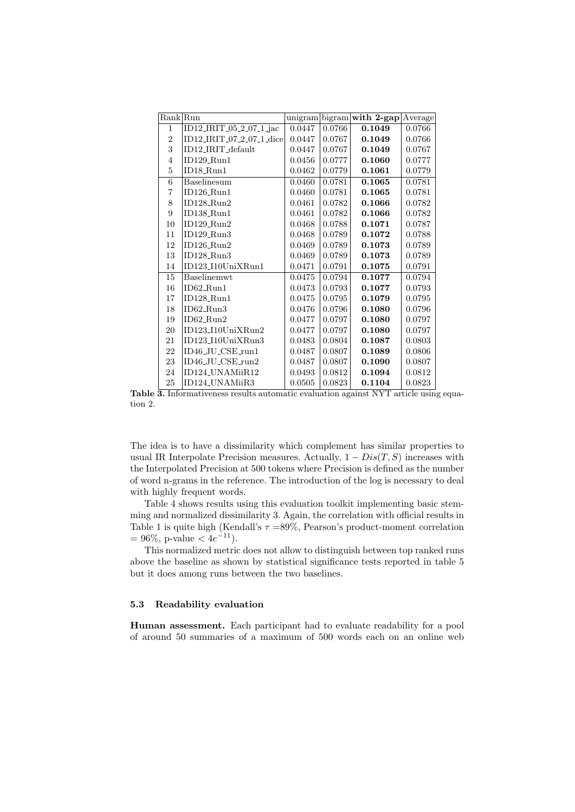| Rank Run         |                                                                  |        |        | unigram bigram with $2$ -gap | Average |
|------------------|------------------------------------------------------------------|--------|--------|------------------------------|---------|
| 1                | $\overline{\text{ID12\_IRIT}\_05}\_2}\_07}\_1\text{-}\text{jac}$ | 0.0447 | 0.0766 | 0.1049                       | 0.0766  |
| $\overline{2}$   | ID12_IRIT_07_2_07_1_dice                                         | 0.0447 | 0.0767 | 0.1049                       | 0.0766  |
| 3                | ID12_IRIT_default                                                | 0.0447 | 0.0767 | 0.1049                       | 0.0767  |
| $\overline{4}$   | $ID129_Run1$                                                     | 0.0456 | 0.0777 | 0.1060                       | 0.0777  |
| $\overline{5}$   | $ID18_Run1$                                                      | 0.0462 | 0.0779 | 0.1061                       | 0.0779  |
| $\boldsymbol{6}$ | Baselinesum                                                      | 0.0460 | 0.0781 | 0.1065                       | 0.0781  |
| $\overline{7}$   | ID126_Run1                                                       | 0.0460 | 0.0781 | 0.1065                       | 0.0781  |
| 8                | $ID128_Run2$                                                     | 0.0461 | 0.0782 | 0.1066                       | 0.0782  |
| 9                | $ID138_Run1$                                                     | 0.0461 | 0.0782 | 0.1066                       | 0.0782  |
| 10               | $ID129_Run2$                                                     | 0.0468 | 0.0788 | 0.1071                       | 0.0787  |
| 11               | $ID129_Run3$                                                     | 0.0468 | 0.0789 | 0.1072                       | 0.0788  |
| 12               | $ID126_Run2$                                                     | 0.0469 | 0.0789 | 0.1073                       | 0.0789  |
| 13               | $ID128_Run3$                                                     | 0.0469 | 0.0789 | 0.1073                       | 0.0789  |
| 14               | ID123_I10UniXRun1                                                | 0.0471 | 0.0791 | 0.1075                       | 0.0791  |
| 15               | Baselinemwt                                                      | 0.0475 | 0.0794 | 0.1077                       | 0.0794  |
| 16               | $ID62_Run1$                                                      | 0.0473 | 0.0793 | 0.1077                       | 0.0793  |
| 17               | ID128_Run1                                                       | 0.0475 | 0.0795 | 0.1079                       | 0.0795  |
| 18               | $ID62_Run3$                                                      | 0.0476 | 0.0796 | 0.1080                       | 0.0796  |
| 19               | $ID62_R$ un2                                                     | 0.0477 | 0.0797 | 0.1080                       | 0.0797  |
| 20               | ID123_I10UniXRun2                                                | 0.0477 | 0.0797 | 0.1080                       | 0.0797  |
| 21               | ID123_I10UniXRun3                                                | 0.0483 | 0.0804 | 0.1087                       | 0.0803  |
| 22               | ID46_JU_CSE_run1                                                 | 0.0487 | 0.0807 | 0.1089                       | 0.0806  |
| 23               | ID46_JU_CSE_run2                                                 | 0.0487 | 0.0807 | 0.1090                       | 0.0807  |
| 24               | ID124_UNAMiiR12                                                  | 0.0493 | 0.0812 | 0.1094                       | 0.0812  |
| 25               | ID124_UNAMiiR3                                                   | 0.0505 | 0.0823 | 0.1104                       | 0.0823  |

Table 3. Informativeness results automatic evaluation against NYT article using equation 2.

The idea is to have a dissimilarity which complement has similar properties to usual IR Interpolate Precision measures. Actually,  $1 - Dis(T, S)$  increases with the Interpolated Precision at 500 tokens where Precision is defined as the number of word n-grams in the reference. The introduction of the log is necessary to deal with highly frequent words.

Table 4 shows results using this evaluation toolkit implementing basic stemming and normalized dissimilarity 3. Again, the correlation with official results in Table 1 is quite high (Kendall's  $\tau = 89\%$ , Pearson's product-moment correlation  $= 96\%, \text{ p-value} < 4e^{-11}.$ 

This normalized metric does not allow to distinguish between top ranked runs above the baseline as shown by statistical significance tests reported in table 5 but it does among runs between the two baselines.

#### 5.3 Readability evaluation

Human assessment. Each participant had to evaluate readability for a pool of around 50 summaries of a maximum of 500 words each on an online web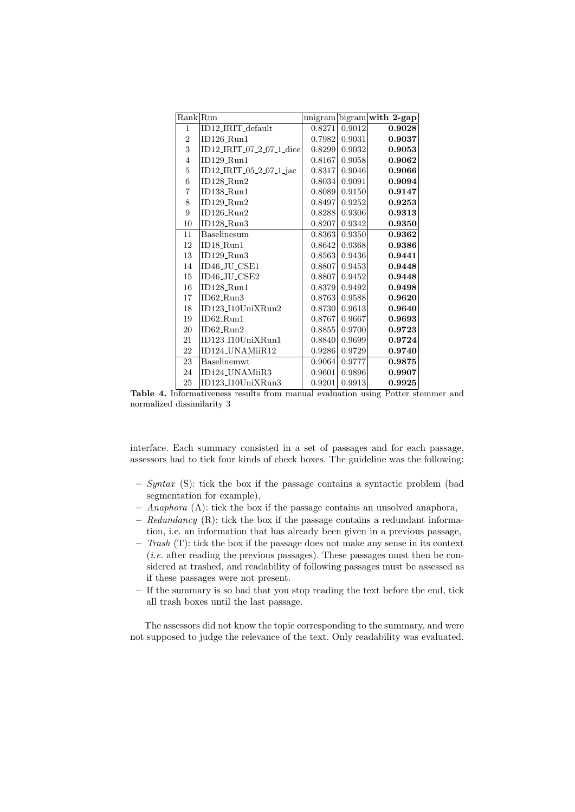| Rank Run         |                                                                                     |        |        | unigram bigram with 2-gap |
|------------------|-------------------------------------------------------------------------------------|--------|--------|---------------------------|
| 1                | ID12_IRIT_default                                                                   | 0.8271 | 0.9012 | 0.9028                    |
| $\overline{2}$   | $ID126_Run1$                                                                        | 0.7982 | 0.9031 | 0.9037                    |
| 3                | ID12_IRIT_07_2_07_1_dice                                                            | 0.8299 | 0.9032 | 0.9053                    |
| $\overline{4}$   | $ID129_Run1$                                                                        | 0.8167 | 0.9058 | 0.9062                    |
| $\bf 5$          | $ID12_I RIT_05_2_07_1_$ jac                                                         | 0.8317 | 0.9046 | 0.9066                    |
| $\,6$            | $ID128_Run2$                                                                        | 0.8034 | 0.9091 | 0.9094                    |
| $\overline{7}$   | $ID138_Run1$                                                                        | 0.8089 | 0.9150 | 0.9147                    |
| 8                | $ID129_Run2$                                                                        | 0.8497 | 0.9252 | 0.9253                    |
| $\boldsymbol{9}$ | $ID126_Run2$                                                                        | 0.8288 | 0.9306 | 0.9313                    |
| 10               | $ID128_Run3$                                                                        | 0.8207 | 0.9342 | 0.9350                    |
| 11               | Baselinesum                                                                         | 0.8363 | 0.9350 | 0.9362                    |
| 12               | $ID18_Run1$                                                                         | 0.8642 | 0.9368 | 0.9386                    |
| 13               | $ID129_Run3$                                                                        | 0.8563 | 0.9436 | 0.9441                    |
| 14               | ID46 <sub>-JU-CSE1</sub>                                                            | 0.8807 | 0.9453 | 0.9448                    |
| 15               | ID46_JU_CSE2                                                                        | 0.8807 | 0.9452 | 0.9448                    |
| 16               | $ID128_Run1$                                                                        | 0.8379 | 0.9492 | 0.9498                    |
| 17               | $ID62_Run3$                                                                         | 0.8763 | 0.9588 | 0.9620                    |
| 18               | ID123_I10UniXRun2                                                                   | 0.8730 | 0.9613 | 0.9640                    |
| 19               | $ID62_Run1$                                                                         | 0.8767 | 0.9667 | 0.9693                    |
| 20               | $ID62_Run2$                                                                         | 0.8855 | 0.9700 | 0.9723                    |
| 21               | ID123_I10UniXRun1                                                                   | 0.8840 | 0.9699 | 0.9724                    |
| 22               | ID124_UNAMiiR12                                                                     | 0.9286 | 0.9729 | 0.9740                    |
| 23               | Baselinemwt                                                                         | 0.9064 | 0.9777 | 0.9875                    |
| 24               | ID124_UNAMiiR3                                                                      | 0.9601 | 0.9896 | 0.9907                    |
| 25               | ID123_I10UniXRun3<br>Informativeness necults from menual evaluation using Detter of | 0.9201 | 0.9913 | 0.9925                    |

Table 4. Informativeness results from manual evaluation using Potter stemmer and normalized dissimilarity 3

interface. Each summary consisted in a set of passages and for each passage, assessors had to tick four kinds of check boxes. The guideline was the following:

- $-$  Syntax (S): tick the box if the passage contains a syntactic problem (bad segmentation for example),
- $-$  Anaphora (A): tick the box if the passage contains an unsolved anaphora,
- $-$  Redundancy  $(R)$ : tick the box if the passage contains a redundant information, i.e. an information that has already been given in a previous passage,
- $-$  Trash (T): tick the box if the passage does not make any sense in its context (*i.e.* after reading the previous passages). These passages must then be considered at trashed, and readability of following passages must be assessed as if these passages were not present.
- If the summary is so bad that you stop reading the text before the end, tick all trash boxes until the last passage.

The assessors did not know the topic corresponding to the summary, and were not supposed to judge the relevance of the text. Only readability was evaluated.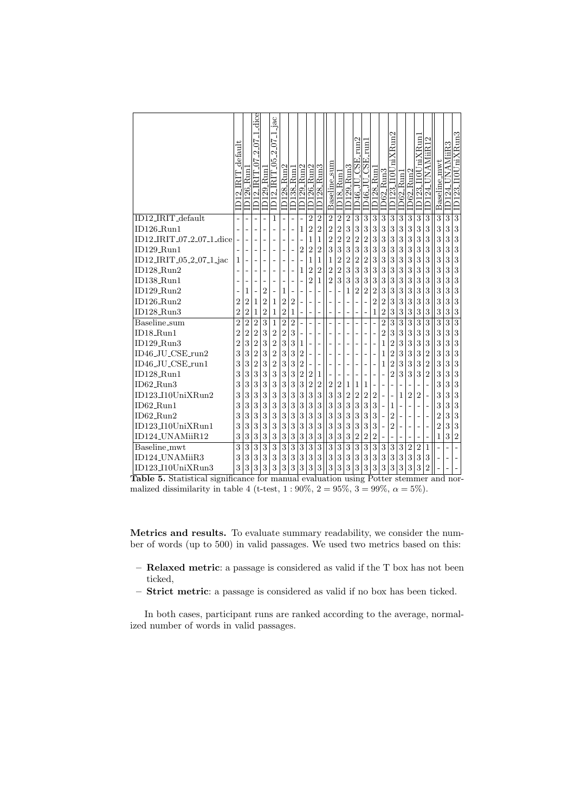|                                                                                               |                        |                          | dice                     |                          |                          |                |                          |                          |                          |                          |                |                              |                  |                   |                |                |                          |                          |                          |                              |                |                   |                          |                |                     |
|-----------------------------------------------------------------------------------------------|------------------------|--------------------------|--------------------------|--------------------------|--------------------------|----------------|--------------------------|--------------------------|--------------------------|--------------------------|----------------|------------------------------|------------------|-------------------|----------------|----------------|--------------------------|--------------------------|--------------------------|------------------------------|----------------|-------------------|--------------------------|----------------|---------------------|
|                                                                                               |                        |                          |                          |                          | $-1$ -jac                |                |                          |                          |                          |                          |                |                              |                  |                   |                |                |                          |                          |                          |                              |                |                   |                          |                |                     |
|                                                                                               |                        |                          | 50                       |                          | $-07$                    |                |                          |                          |                          |                          |                |                              |                  | 2                 | $r$ un $1$     |                |                          | niXRun2                  |                          |                              | niXRunl        | $\mathbf{\Omega}$ |                          |                | $D123-110$ UniXRun3 |
|                                                                                               | $\rm D12JRIT\_default$ |                          | $\mathbf{\tilde{c}}$     |                          | $\gamma$                 |                |                          |                          |                          |                          |                |                              |                  | .<br>run:         |                |                |                          |                          |                          |                              |                | UNAMiiR           |                          | ID124_UNAMiiR3 |                     |
|                                                                                               |                        |                          | $ID12$ JRIT $-07$        |                          | ID12 IRIT-05             |                |                          |                          |                          |                          |                |                              |                  | ESC               | CSE.           |                |                          |                          |                          |                              |                |                   | Baseline_mwt             |                |                     |
|                                                                                               |                        | $D126_R$ lun             |                          | $ID129_Rn1$              |                          | Run2           | Runl                     | Run2                     | Run2                     | Run3                     | Baseline_sum   | D <sub>18</sub> Run1         | Run3             |                   |                | $_{\rm Run1}$  | Run <sub>3</sub>         | 50                       | Run1                     | Run2                         | EO             |                   |                          |                |                     |
|                                                                                               |                        |                          |                          |                          |                          |                |                          |                          |                          |                          |                |                              |                  | ۹                 |                |                |                          |                          |                          |                              |                |                   |                          |                |                     |
|                                                                                               |                        |                          |                          |                          |                          | ID128          | ID138.                   | 129                      | 26                       | 128                      |                |                              | ID129.           | ID46.             | ID46.          | 128.           | D62                      | ID123.                   | ID62.                    | D62                          | 123.           | 124               |                          |                |                     |
|                                                                                               |                        |                          |                          |                          |                          |                |                          | È                        | Ê                        | Ê                        |                |                              |                  |                   |                |                |                          |                          |                          |                              |                | $\triangle$       |                          |                |                     |
| ID12_IRIT_default                                                                             |                        |                          |                          | L                        | $\mathbf{1}$             | L              |                          |                          | $\overline{2}$           | $\overline{2}$           | $\overline{2}$ | $\overline{2}$               | $\overline{2}$   | 3                 | 3              | 3              | 3                        | 3                        | 3                        | 3                            | 3              | 3                 | $\overline{3}$           | $\overline{3}$ | $\overline{3}$      |
| $ID126_Run1$                                                                                  |                        | -                        | -                        | $\overline{a}$           | $\overline{\phantom{a}}$ | ÷              | $\overline{a}$           | $\mathbf{1}$             | $\overline{2}$           | $\overline{2}$           | $\overline{2}$ | $\overline{2}$               | $\sqrt{3}$       | 3                 | 3              | 3              | 3                        | 3                        | 3                        | 3                            | 3              | 3                 | 3                        | 3              | 3                   |
| ID12_IRIT_07_2_07_1_dice                                                                      | $\overline{a}$         | $\overline{\phantom{m}}$ | $\overline{a}$           | $\overline{a}$           | $\overline{\phantom{a}}$ | ۰              | $\overline{\phantom{a}}$ | $\overline{\phantom{m}}$ | $\mathbf{1}$             | $\mathbf{1}$             | $\overline{2}$ | $\overline{2}$               | $\boldsymbol{2}$ | $\boldsymbol{2}$  | $\overline{2}$ | 3              | 3                        | 3                        | 3                        | 3                            | $\sqrt{3}$     | 3                 | 3                        | 3              | 3                   |
| $ID129_Run1$                                                                                  |                        | -                        | $\overline{\phantom{0}}$ | $\overline{a}$           | $\overline{a}$           | ٠              | $\overline{\phantom{0}}$ | $\overline{2}$           | $\overline{2}$           | $\overline{2}$           | 3              | 3                            | $\sqrt{3}$       | 3                 | $\sqrt{3}$     | 3              | 3                        | 3                        | 3                        | 3                            | 3              | 3                 | 3                        | 3              | 3                   |
| ID12_IRIT_05_2_07_1_jac                                                                       | $\mathbf{1}$           | $\overline{a}$           | -                        | $\overline{a}$           | $\overline{\phantom{a}}$ | ۰              | $\overline{a}$           | $\overline{a}$           | $\mathbf{1}$             | $\mathbf 1$              | 1              | $\overline{2}$               | $\overline{2}$   | $\overline{2}$    | $\overline{2}$ | 3              | 3                        | 3                        | 3                        | 3                            | $\sqrt{3}$     | 3                 | 3                        | 3              | 3                   |
| $ID128_Run2$                                                                                  |                        | -                        | ۰                        | $\overline{\phantom{m}}$ | $\overline{\phantom{a}}$ | ۳              | $\overline{a}$           | 1                        | $\overline{2}$           | $\overline{2}$           | $\overline{2}$ | $\overline{2}$               | 3                | 3                 | 3              | 3              | 3                        | 3                        | 3                        | 3                            | 3              | 3                 | 3                        | 3              | 3                   |
| ID138_Run1                                                                                    | L                      | -                        | $\overline{a}$           | $\overline{\phantom{m}}$ | $\overline{\phantom{a}}$ | ٠              | $\overline{a}$           | $\overline{a}$           | $\overline{2}$           | 1                        | $\overline{2}$ | 3                            | 3                | 3                 | 3              | 3              | 3                        | 3                        | 3                        | 3                            | 3              | 3                 | 3                        | 3              | 3                   |
| ID129_Run2                                                                                    |                        | $\mathbf{1}$             | ÷,                       | $\overline{2}$           | $\overline{\phantom{a}}$ | 1              | $\overline{a}$           | $\overline{a}$           | $\overline{\phantom{m}}$ | $\overline{\phantom{m}}$ |                |                              | 1                | $\overline{2}$    | $\overline{2}$ | $\overline{2}$ | 3                        | 3                        | 3                        | 3                            | 3              | 3                 | 3                        | 3              | 3                   |
| $ID126_Run2$                                                                                  | $\overline{2}$         | $\overline{2}$           | 1                        | $\overline{2}$           | 1                        | $\overline{2}$ | $\overline{2}$           |                          | $\overline{a}$           | $\overline{\phantom{0}}$ |                | ۰                            |                  | $\qquad \qquad -$ | ٠              | $\overline{2}$ | $\overline{2}$           | 3                        | 3                        | 3                            | 3              | 3                 | 3                        | 3              | 3                   |
| ID128_Run3                                                                                    | $\overline{2}$         | $\overline{2}$           | $\,1$                    | $\overline{2}$           | $\mathbf{1}$             | $\overline{2}$ | 1                        | $\overline{a}$           | $\overline{\phantom{m}}$ | ÷,                       | ۰              | $\qquad \qquad \blacksquare$ | ۰                | -                 | $\overline{a}$ | 1              | $\overline{2}$           | 3                        | 3                        | 3                            | 3              | 3                 | 3                        | 3              | 3                   |
| Baseline_sum                                                                                  | $\overline{2}$         | $\overline{2}$           | $\overline{2}$           | 3                        | 1                        | $\overline{2}$ | $\overline{2}$           |                          |                          |                          |                |                              |                  |                   |                | ÷,             | $\overline{2}$           | 3                        | 3                        | 3                            | 3              | 3                 | 3                        | $\overline{3}$ | $\overline{3}$      |
| $ID18_Run1$                                                                                   | $\overline{2}$         | $\overline{2}$           | $\overline{2}$           | 3                        | $\overline{2}$           | $\overline{2}$ | 3                        |                          | $\overline{a}$           | $\overline{a}$           |                |                              |                  | ÷,                | ÷              | $\overline{a}$ | $\overline{2}$           | 3                        | 3                        | 3                            | 3              | 3                 | 3                        | 3              | 3                   |
| $ID129_Run3$                                                                                  | $\overline{2}$         | 3                        | $\overline{2}$           | 3                        | $\overline{2}$           | 3              | 3                        | 1                        | ÷,                       | ÷,                       |                |                              |                  |                   |                | $\overline{a}$ | $\mathbf 1$              | $\overline{2}$           | 3                        | 3                            | 3              | 3                 | 3                        | 3              | 3                   |
| ID46_JU_CSE_run2                                                                              | 3                      | 3                        | $\overline{2}$           | 3                        | $\overline{2}$           | 3              | 3                        | $\overline{2}$           | $\overline{a}$           | $\overline{\phantom{a}}$ |                | ۰                            | ۰                | ۰                 | ۰              | ÷,             | 1                        | $\overline{2}$           | 3                        | 3                            | 3              | $\overline{2}$    | 3                        | 3              | 3                   |
| ID46_JU_CSE_run1                                                                              | 3                      | 3                        | $\overline{2}$           | 3                        | $\overline{2}$           | 3              | 3                        | $\overline{2}$           | $\overline{a}$           | $\overline{\phantom{m}}$ |                | ٠                            | ٠                | ۰                 | ۰              | ۰              | 1                        | $\overline{2}$           | 3                        | 3                            | 3              | $\overline{2}$    | 3                        | 3              | 3                   |
| ID128_Run1                                                                                    | 3                      | 3                        | 3                        | 3                        | 3                        | 3              | 3                        | $\overline{2}$           | $\overline{2}$           | $\mathbf{1}$             |                |                              |                  | -                 | ۰              | $\overline{a}$ | $\overline{a}$           | $\overline{2}$           | 3                        | 3                            | 3              | $\overline{2}$    | 3                        | 3              | 3                   |
| ID62_Run3                                                                                     | 3                      | 3                        | 3                        | 3                        | 3                        | 3              | 3                        | 3                        | $\overline{2}$           | $\overline{2}$           | $\overline{2}$ | $\overline{2}$               | 1                | 1                 | 1              | $\overline{a}$ | ÷                        |                          |                          |                              |                | $\overline{a}$    | 3                        | 3              | 3                   |
| ID123_I10UniXRun2                                                                             | 3                      | 3                        | 3                        | 3                        | 3                        | 3              | 3                        | 3                        | 3                        | 3                        | 3              | 3                            | $\sqrt{2}$       | $\boldsymbol{2}$  | $\overline{2}$ | $\overline{2}$ | $\overline{\phantom{m}}$ | $\overline{a}$           | $\mathbf{1}$             | $\overline{2}$               | $\overline{2}$ | ÷                 | 3                        | 3              | 3                   |
| $ID62_Run1$                                                                                   | 3                      | 3                        | 3                        | 3                        | 3                        | 3              | 3                        | 3                        | 3                        | 3                        | 3              | 3                            | 3                | 3                 | 3              | 3              | $\overline{a}$           | 1                        | $\overline{\phantom{a}}$ | $\overline{a}$               | ۰              | $\overline{a}$    | 3                        | 3              | 3                   |
| ID62_Run2                                                                                     | 3                      | 3                        | 3                        | 3                        | 3                        | 3              | 3                        | 3                        | 3                        | 3                        | 3              | 3                            | 3                | 3                 | 3              | 3              | $\overline{a}$           | $\overline{2}$           | $\overline{\phantom{m}}$ | $\overline{a}$               | -              | $\overline{a}$    | $\overline{2}$           | 3              | 3                   |
| ID123_I10UniXRun1                                                                             | 3                      | 3                        | 3                        | 3                        | 3                        | 3              | 3                        | 3                        | 3                        | 3                        | 3              | 3                            | 3                | 3                 | 3              | 3              | ÷,                       | $\overline{2}$           | ۰                        | ٠                            | ۰              | -                 | $\overline{2}$           | 3              | 3                   |
| ID124_UNAMiiR12                                                                               | 3                      | 3                        | 3                        | 3                        | 3                        | 3              | 3                        | 3                        | 3                        | 3                        | 3              | $\boldsymbol{3}$             | $\boldsymbol{3}$ | $\overline{2}$    | $\overline{2}$ | $\overline{2}$ | $\overline{\phantom{m}}$ | $\overline{\phantom{a}}$ | $\overline{\phantom{a}}$ | $\qquad \qquad \blacksquare$ | -              | ÷,                | 1                        | 3              | $\overline{2}$      |
| Baseline_mwt                                                                                  | 3                      | 3                        | 3                        | 3                        | $\overline{\mathbf{3}}$  | 3              | 3                        | $\overline{3}$           | $\overline{3}$           | 3                        | 3              | 3                            | 3                | 3                 | 3              | 3              | 3                        | 3                        | 3                        | $\overline{2}$               | $\overline{2}$ | 1                 |                          |                |                     |
| ID124_UNAMiiR3                                                                                | 3                      | 3                        | 3                        | 3                        | 3                        | 3              | 3                        | 3                        | 3                        | 3                        | 3              | 3                            | 3                | 3                 | 3              | 3              | 3                        | 3                        | 3                        | 3                            | 3              | 3                 | $\overline{\phantom{m}}$ | -              |                     |
| ID123_I10UniXRun3                                                                             | $\sqrt{3}$             | 3                        | 3                        | 3                        | 3                        | 3              | 3                        | 3                        | 3                        | 3                        | 3              | 3                            | $\sqrt{3}$       | $\sqrt{3}$        | 3              | 3              | 3                        | 3                        | 3                        | 3                            | 3              | $\overline{2}$    |                          |                |                     |
| Table 5. Statistical significance for manual<br>evaluation using<br>Potter stemmer and<br>nor |                        |                          |                          |                          |                          |                |                          |                          |                          |                          |                |                              |                  |                   |                |                |                          |                          |                          |                              |                |                   |                          |                |                     |

malized dissimilarity in table 4 (t-test,  $1:90\%, 2 = 95\%, 3 = 99\%, \alpha = 5\%$ ).

Metrics and results. To evaluate summary readability, we consider the number of words (up to 500) in valid passages. We used two metrics based on this:

- Relaxed metric: a passage is considered as valid if the T box has not been ticked,
- Strict metric: a passage is considered as valid if no box has been ticked.

In both cases, participant runs are ranked according to the average, normalized number of words in valid passages.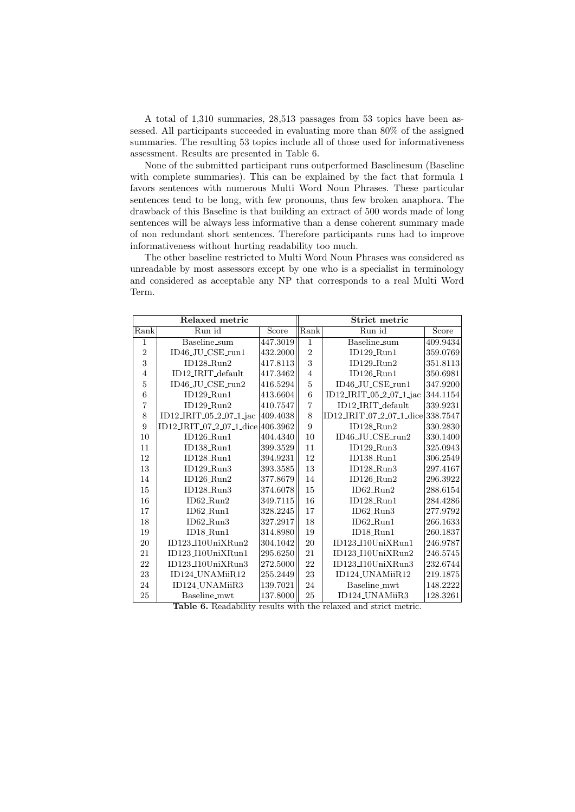A total of 1,310 summaries, 28,513 passages from 53 topics have been assessed. All participants succeeded in evaluating more than 80% of the assigned summaries. The resulting 53 topics include all of those used for informativeness assessment. Results are presented in Table 6.

None of the submitted participant runs outperformed Baselinesum (Baseline with complete summaries). This can be explained by the fact that formula 1 favors sentences with numerous Multi Word Noun Phrases. These particular sentences tend to be long, with few pronouns, thus few broken anaphora. The drawback of this Baseline is that building an extract of 500 words made of long sentences will be always less informative than a dense coherent summary made of non redundant short sentences. Therefore participants runs had to improve informativeness without hurting readability too much.

The other baseline restricted to Multi Word Noun Phrases was considered as unreadable by most assessors except by one who is a specialist in terminology and considered as acceptable any NP that corresponds to a real Multi Word Term.

|                | Relaxed metric                    |          | Strict metric  |                                     |          |  |  |  |  |  |
|----------------|-----------------------------------|----------|----------------|-------------------------------------|----------|--|--|--|--|--|
| Rank           | Run id                            | Score    | Rank           | Run id                              | Score    |  |  |  |  |  |
| $\,1$          | Baseline_sum                      | 447.3019 | $\mathbf{1}$   | Baseline_sum                        | 409.9434 |  |  |  |  |  |
| $\overline{2}$ | ID46_JU_CSE_run1                  | 432.2000 | $\overline{2}$ | $ID129_Run1$                        | 359.0769 |  |  |  |  |  |
| 3              | $ID128_Run2$                      | 417.8113 | 3              | $ID129_Run2$                        | 351.8113 |  |  |  |  |  |
| 4              | ID12_IRIT_default                 | 417.3462 | $\overline{4}$ | $ID126_Run1$                        | 350.6981 |  |  |  |  |  |
| 5              | ID46_JU_CSE_run2                  | 416.5294 | $\bf 5$        | ID46_JU_CSE_run1                    | 347.9200 |  |  |  |  |  |
| 6              | $ID129_Run1$                      | 413.6604 | 6              | $ID12_IRT_05_2_07_1$ <sub>jac</sub> | 344.1154 |  |  |  |  |  |
| $\overline{7}$ | $ID129_Run2$                      | 410.7547 | $\overline{7}$ | ID12_IRIT_default                   | 339.9231 |  |  |  |  |  |
| 8              | ID12_IRIT_05_2_07_1_jac           | 409.4038 | 8              | ID12_IRIT_07_2_07_1_dice            | 338.7547 |  |  |  |  |  |
| 9              | ID12_IRIT_07_2_07_1_dice 406.3962 |          | 9              | $ID128_Run2$                        | 330.2830 |  |  |  |  |  |
| 10             | ID126_Run1                        | 404.4340 | 10             | ID46_JU_CSE_run2                    | 330.1400 |  |  |  |  |  |
| 11             | $ID138_Run1$                      | 399.3529 | 11             | $ID129_Run3$                        | 325.0943 |  |  |  |  |  |
| 12             | $ID128_Run1$                      | 394.9231 | 12             | $ID138_Run1$                        | 306.2549 |  |  |  |  |  |
| 13             | $ID129_Run3$                      | 393.3585 | $13\,$         | $ID128_Run3$                        | 297.4167 |  |  |  |  |  |
| 14             | $ID126_Run2$                      | 377.8679 | 14             | $ID126_Run2$                        | 296.3922 |  |  |  |  |  |
| 15             | $ID128_Run3$                      | 374.6078 | 15             | $ID62_Run2$                         | 288.6154 |  |  |  |  |  |
| 16             | $ID62_Run2$                       | 349.7115 | 16             | $ID128_Run1$                        | 284.4286 |  |  |  |  |  |
| 17             | $ID62_Run1$                       | 328.2245 | 17             | $ID62_Run3$                         | 277.9792 |  |  |  |  |  |
| 18             | $ID62_Run3$                       | 327.2917 | 18             | $ID62_Run1$                         | 266.1633 |  |  |  |  |  |
| 19             | $ID18_Run1$                       | 314.8980 | 19             | $ID18_Run1$                         | 260.1837 |  |  |  |  |  |
| $20\,$         | ID123_I10UniXRun2                 | 304.1042 | $20\,$         | ID123_I10UniXRun1                   | 246.9787 |  |  |  |  |  |
| 21             | ID123_I10UniXRun1                 | 295.6250 | 21             | ID123_I10UniXRun2                   | 246.5745 |  |  |  |  |  |
| 22             | ID123_I10UniXRun3                 | 272.5000 | 22             | ID123_I10UniXRun3                   | 232.6744 |  |  |  |  |  |
| 23             | ID124_UNAMiiR12                   | 255.2449 | 23             | ID124_UNAMiiR12                     | 219.1875 |  |  |  |  |  |
| 24             | ID124_UNAMiiR3                    | 139.7021 | 24             | Baseline_mwt                        | 148.2222 |  |  |  |  |  |
| 25             | Baseline_mwt                      | 137.8000 | 25             | ID124 <sub>-UNAMiiR3</sub>          | 128.3261 |  |  |  |  |  |

Table 6. Readability results with the relaxed and strict metric.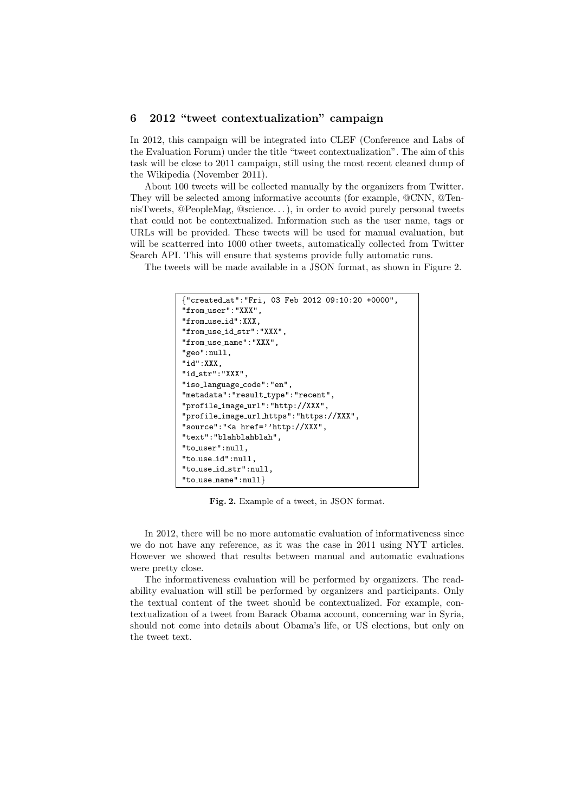# 6 2012 "tweet contextualization" campaign

In 2012, this campaign will be integrated into CLEF (Conference and Labs of the Evaluation Forum) under the title "tweet contextualization". The aim of this task will be close to 2011 campaign, still using the most recent cleaned dump of the Wikipedia (November 2011).

About 100 tweets will be collected manually by the organizers from Twitter. They will be selected among informative accounts (for example, @CNN, @TennisTweets, @PeopleMag, @science. . . ), in order to avoid purely personal tweets that could not be contextualized. Information such as the user name, tags or URLs will be provided. These tweets will be used for manual evaluation, but will be scatterred into 1000 other tweets, automatically collected from Twitter Search API. This will ensure that systems provide fully automatic runs.

The tweets will be made available in a JSON format, as shown in Figure 2.



Fig. 2. Example of a tweet, in JSON format.

In 2012, there will be no more automatic evaluation of informativeness since we do not have any reference, as it was the case in 2011 using NYT articles. However we showed that results between manual and automatic evaluations were pretty close.

The informativeness evaluation will be performed by organizers. The readability evaluation will still be performed by organizers and participants. Only the textual content of the tweet should be contextualized. For example, contextualization of a tweet from Barack Obama account, concerning war in Syria, should not come into details about Obama's life, or US elections, but only on the tweet text.